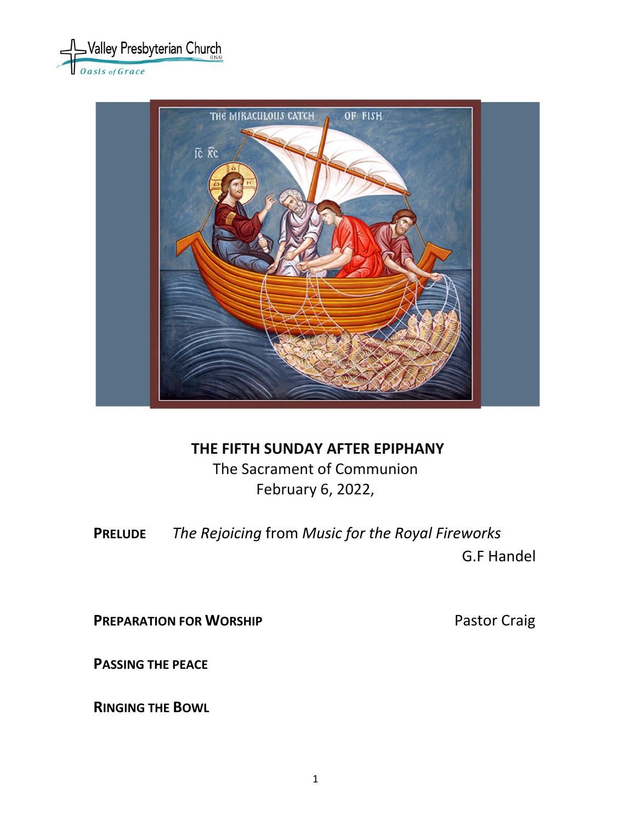



### **THE FIFTH SUNDAY AFTER EPIPHANY**

The Sacrament of Communion February 6, 2022,

**PRELUDE** *The Rejoicing* from *Music for the Royal Fireworks*

G.F Handel

**PREPARATION FOR WORSHIP** Pastor Craig

**PASSING THE PEACE**

**RINGING THE BOWL**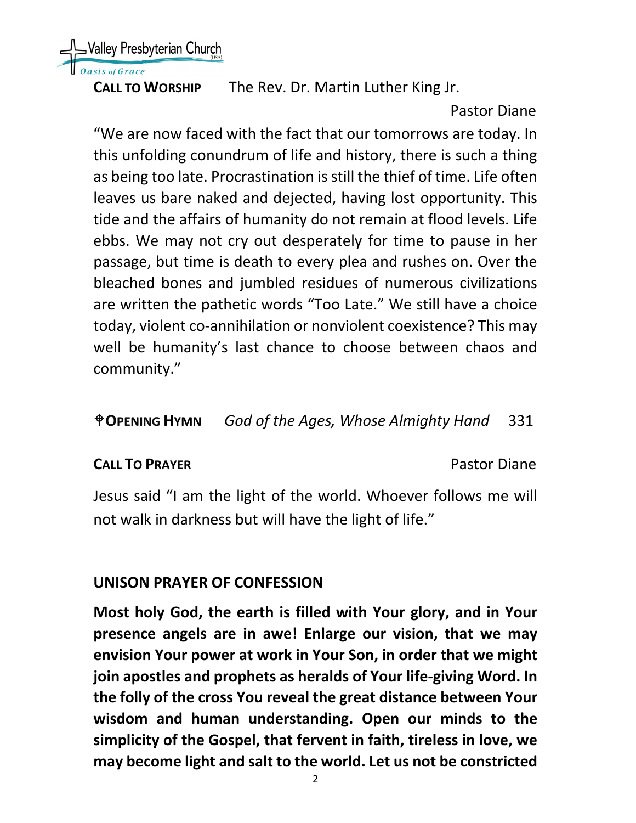Nalley Presbyterian Church

**CALL TO WORSHIP** The Rev. Dr. Martin Luther King Jr.

Pastor Diane

"We are now faced with the fact that our tomorrows are today. In this unfolding conundrum of life and history, there is such a thing as being too late. Procrastination is still the thief of time. Life often leaves us bare naked and dejected, having lost opportunity. This tide and the affairs of humanity do not remain at flood levels. Life ebbs. We may not cry out desperately for time to pause in her passage, but time is death to every plea and rushes on. Over the bleached bones and jumbled residues of numerous civilizations are written the pathetic words "Too Late." We still have a choice today, violent co-annihilation or nonviolent coexistence? This may well be humanity's last chance to choose between chaos and community."

## **OPENING HYMN** *God of the Ages, Whose Almighty Hand* 331

## **CALL TO PRAYER** Pastor Diane

Jesus said "I am the light of the world. Whoever follows me will not walk in darkness but will have the light of life."

## **UNISON PRAYER OF CONFESSION**

**Most holy God, the earth is filled with Your glory, and in Your presence angels are in awe! Enlarge our vision, that we may envision Your power at work in Your Son, in order that we might join apostles and prophets as heralds of Your life-giving Word. In the folly of the cross You reveal the great distance between Your wisdom and human understanding. Open our minds to the simplicity of the Gospel, that fervent in faith, tireless in love, we may become light and salt to the world. Let us not be constricted**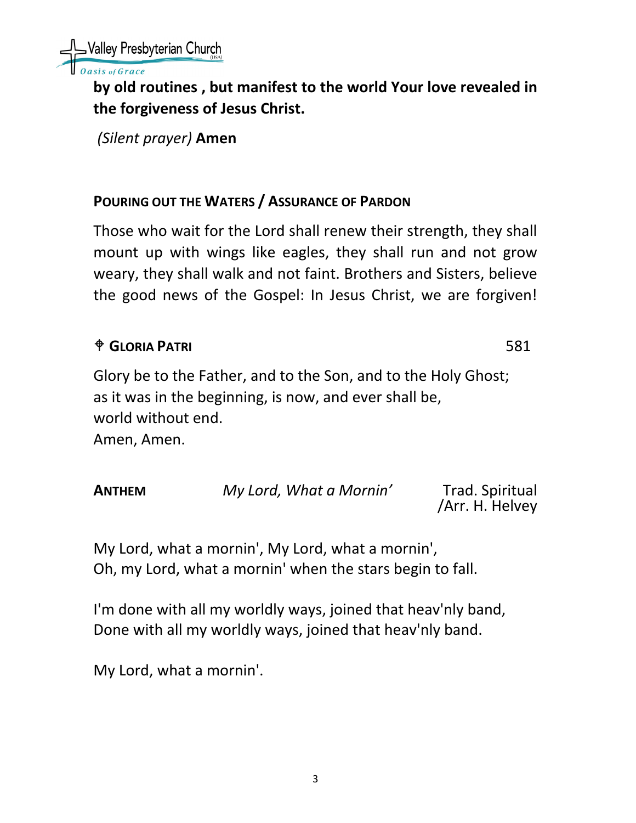

sis of Grace

**by old routines , but manifest to the world Your love revealed in the forgiveness of Jesus Christ.**

*(Silent prayer)* **Amen**

## **POURING OUT THE WATERS / ASSURANCE OF PARDON**

Those who wait for the Lord shall renew their strength, they shall mount up with wings like eagles, they shall run and not grow weary, they shall walk and not faint. Brothers and Sisters, believe the good news of the Gospel: In Jesus Christ, we are forgiven!

## <sup> $\phi$ </sup> Gloria Patri

Glory be to the Father, and to the Son, and to the Holy Ghost; as it was in the beginning, is now, and ever shall be, world without end.

Amen, Amen.

| <b>ANTHEM</b> | My Lord, What a Mornin' | Trad. Spiritual<br>/Arr. H. Helvey |
|---------------|-------------------------|------------------------------------|
|               |                         |                                    |

My Lord, what a mornin', My Lord, what a mornin', Oh, my Lord, what a mornin' when the stars begin to fall.

I'm done with all my worldly ways, joined that heav'nly band, Done with all my worldly ways, joined that heav'nly band.

My Lord, what a mornin'.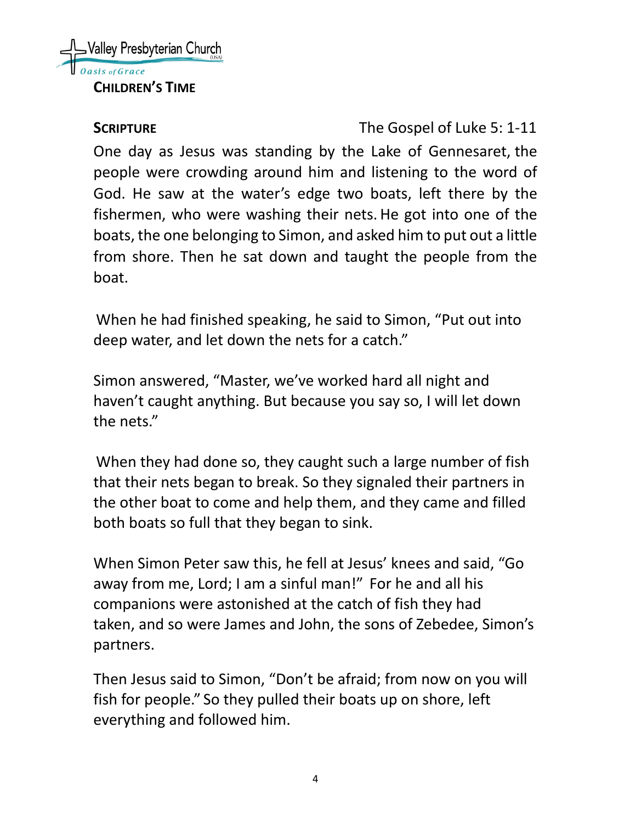

**SCRIPTURE** The Gospel of Luke 5: 1-11

One day as Jesus was standing by the Lake of Gennesaret, the people were crowding around him and listening to the word of God. He saw at the water's edge two boats, left there by the fishermen, who were washing their nets.He got into one of the boats, the one belonging to Simon, and asked him to put out a little from shore. Then he sat down and taught the people from the boat.

When he had finished speaking, he said to Simon, "Put out into deep water, and let down the nets for a catch."

Simon answered, "Master, we've worked hard all night and haven't caught anything. But because you say so, I will let down the nets."

When they had done so, they caught such a large number of fish that their nets began to break. So they signaled their partners in the other boat to come and help them, and they came and filled both boats so full that they began to sink.

When Simon Peter saw this, he fell at Jesus' knees and said, "Go away from me, Lord; I am a sinful man!" For he and all his companions were astonished at the catch of fish they had taken, and so were James and John, the sons of Zebedee, Simon's partners.

Then Jesus said to Simon, "Don't be afraid; from now on you will fish for people." So they pulled their boats up on shore, left everything and followed him.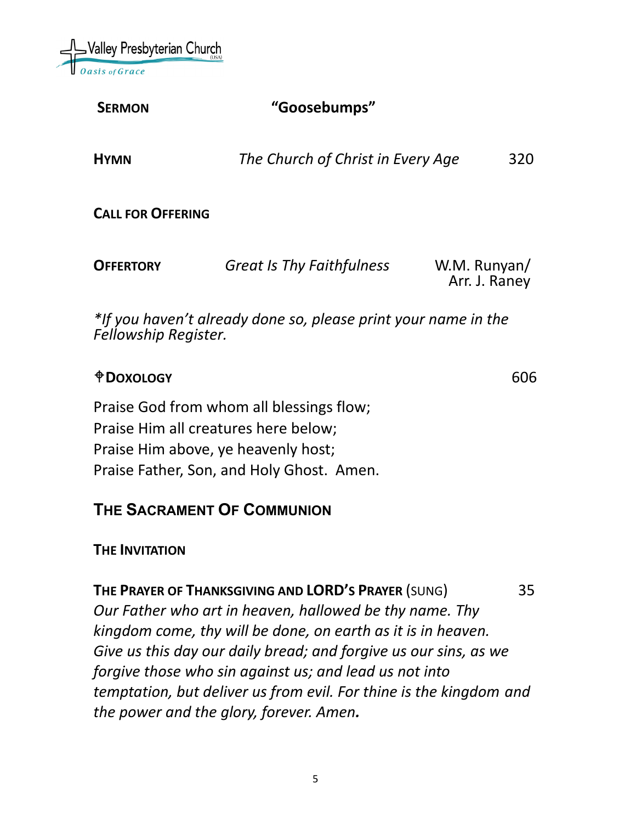

| <b>SERMON</b>                  | "Goosebumps"                                                   |              |               |
|--------------------------------|----------------------------------------------------------------|--------------|---------------|
| <b>HYMN</b>                    | The Church of Christ in Every Age                              |              | 320           |
| <b>CALL FOR OFFERING</b>       |                                                                |              |               |
| <b>OFFERTORY</b>               | Great Is Thy Faithfulness                                      | W.M. Runyan/ | Arr. J. Raney |
| Fellowship Register.           | *If you haven't already done so, please print your name in the |              |               |
| <b><i><u>ODOXOLOGY</u></i></b> |                                                                |              | 606           |
|                                | Praise God from whom all blessings flow;                       |              |               |
|                                | Praise Him all creatures here below;                           |              |               |
|                                | Praise Him above, ye heavenly host;                            |              |               |

Praise Father, Son, and Holy Ghost. Amen.

# **THE SACRAMENT OF COMMUNION**

## **THE INVITATION**

| THE PRAYER OF THANKSGIVING AND LORD'S PRAYER (SUNG)                | 35 |
|--------------------------------------------------------------------|----|
| Our Father who art in heaven, hallowed be thy name. Thy            |    |
| kingdom come, thy will be done, on earth as it is in heaven.       |    |
| Give us this day our daily bread; and forgive us our sins, as we   |    |
| forgive those who sin against us; and lead us not into             |    |
| temptation, but deliver us from evil. For thine is the kingdom and |    |
| the power and the glory, forever. Amen.                            |    |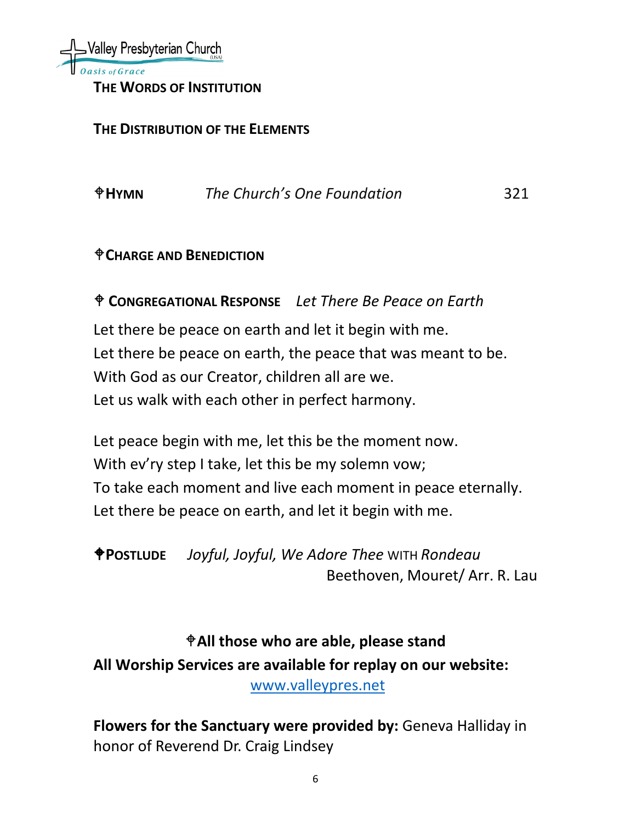

**THE WORDS OF INSTITUTION**

**THE DISTRIBUTION OF THE ELEMENTS**

## **HYMN** *The Church's One Foundation* 321

**CHARGE AND BENEDICTION**

## **CONGREGATIONAL RESPONSE** *Let There Be Peace on Earth*

Let there be peace on earth and let it begin with me. Let there be peace on earth, the peace that was meant to be. With God as our Creator, children all are we. Let us walk with each other in perfect harmony.

Let peace begin with me, let this be the moment now. With ev'ry step I take, let this be my solemn vow; To take each moment and live each moment in peace eternally. Let there be peace on earth, and let it begin with me.

**POSTLUDE** *Joyful, Joyful, We Adore Thee* WITH *Rondeau* Beethoven, Mouret/ Arr. R. Lau

**All those who are able, please stand All Worship Services are available for replay on our website:**  [www.valleypres.net](http://www.valleypres.net/)

**Flowers for the Sanctuary were provided by:** Geneva Halliday in honor of Reverend Dr. Craig Lindsey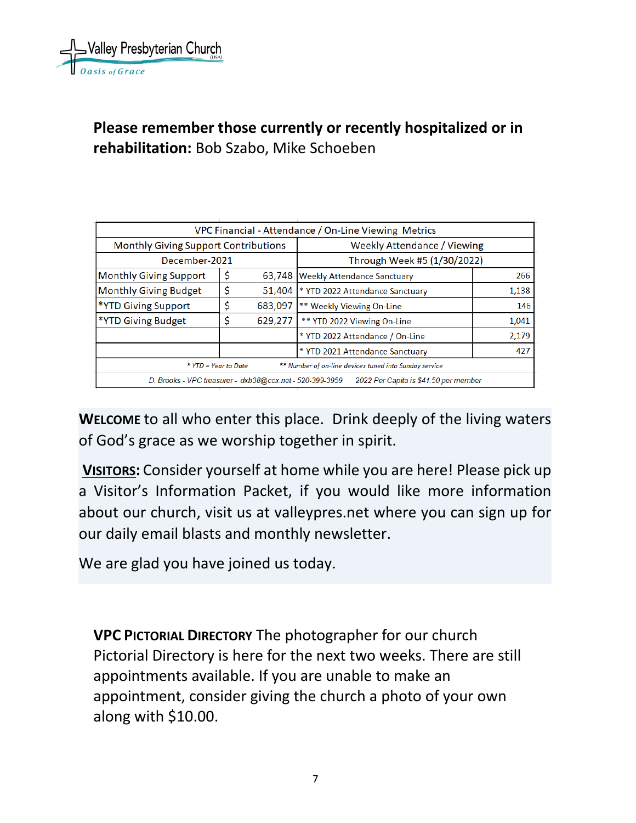

## **Please remember those currently or recently hospitalized or in rehabilitation:** Bob Szabo, Mike Schoeben

| VPC Financial - Attendance / On-Line Viewing Metrics                                              |    |                                    |                                    |       |  |  |  |
|---------------------------------------------------------------------------------------------------|----|------------------------------------|------------------------------------|-------|--|--|--|
| Monthly Giving Support Contributions                                                              |    | <b>Weekly Attendance / Viewing</b> |                                    |       |  |  |  |
| December-2021                                                                                     |    | Through Week #5 (1/30/2022)        |                                    |       |  |  |  |
| <b>Monthly Giving Support</b>                                                                     | \$ | 63,748                             | <b>Weekly Attendance Sanctuary</b> | 266   |  |  |  |
| <b>Monthly Giving Budget</b>                                                                      | \$ | 51,404                             | * YTD 2022 Attendance Sanctuary    | 1,138 |  |  |  |
| *YTD Giving Support                                                                               | Ś  | 683,097                            | ** Weekly Viewing On-Line          | 146   |  |  |  |
| <b>*YTD Giving Budget</b>                                                                         | \$ | 629,277                            | ** YTD 2022 Viewing On-Line        | 1,041 |  |  |  |
|                                                                                                   |    |                                    | * YTD 2022 Attendance / On-Line    | 2,179 |  |  |  |
|                                                                                                   |    |                                    | * YTD 2021 Attendance Sanctuary    | 427   |  |  |  |
| ** Number of on-line devices tuned into Sunday service<br>* YTD = Year to Date                    |    |                                    |                                    |       |  |  |  |
| D. Brooks - VPC treasurer - dxb38@cox.net - 520-399-3959<br>2022 Per Capita is \$41.50 per member |    |                                    |                                    |       |  |  |  |

**WELCOME** to all who enter this place. Drink deeply of the living waters of God's grace as we worship together in spirit.

**VISITORS:** Consider yourself at home while you are here! Please pick up a Visitor's Information Packet, if you would like more information about our church, visit us at valleypres.net where you can sign up for our daily email blasts and monthly newsletter.

We are glad you have joined us today.

**VPC PICTORIAL DIRECTORY** The photographer for our church Pictorial Directory is here for the next two weeks. There are still appointments available. If you are unable to make an appointment, consider giving the church a photo of your own along with \$10.00.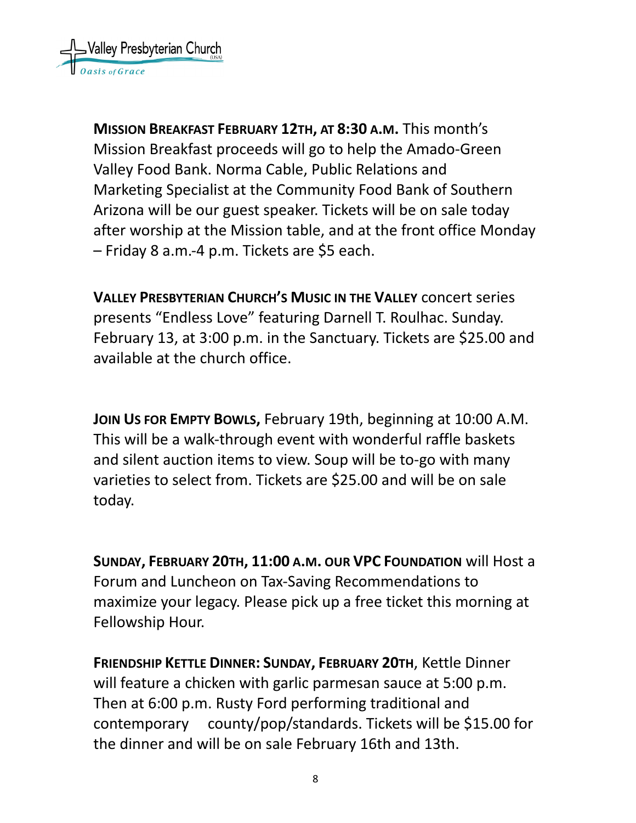

**MISSION BREAKFAST FEBRUARY 12TH, AT 8:30 A.M.** This month's Mission Breakfast proceeds will go to help the Amado-Green Valley Food Bank. Norma Cable, Public Relations and Marketing Specialist at the Community Food Bank of Southern Arizona will be our guest speaker. Tickets will be on sale today after worship at the Mission table, and at the front office Monday – Friday 8 a.m.-4 p.m. Tickets are \$5 each.

**VALLEY PRESBYTERIAN CHURCH'S MUSIC IN THE VALLEY** concert series presents "Endless Love" featuring Darnell T. Roulhac. Sunday. February 13, at 3:00 p.m. in the Sanctuary. Tickets are \$25.00 and available at the church office.

**JOIN US FOR EMPTY BOWLS,** February 19th, beginning at 10:00 A.M. This will be a walk-through event with wonderful raffle baskets and silent auction items to view. Soup will be to-go with many varieties to select from. Tickets are \$25.00 and will be on sale today.

**SUNDAY, FEBRUARY 20TH, 11:00 A.M. OUR VPC FOUNDATION** will Host a Forum and Luncheon on Tax-Saving Recommendations to maximize your legacy. Please pick up a free ticket this morning at Fellowship Hour.

**FRIENDSHIP KETTLE DINNER: SUNDAY, FEBRUARY 20TH**, Kettle Dinner will feature a chicken with garlic parmesan sauce at 5:00 p.m. Then at 6:00 p.m. Rusty Ford performing traditional and contemporary county/pop/standards. Tickets will be \$15.00 for the dinner and will be on sale February 16th and 13th.